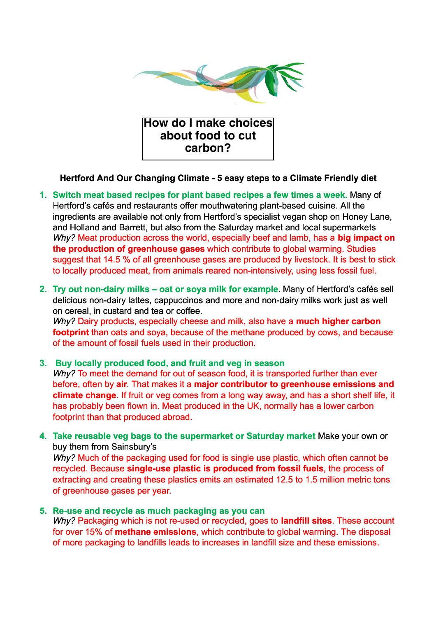

**How do I make choices about food to cut carbon?**

#### **Hertford And Our Changing Climate - 5 easy steps to a Climate Friendly diet**

- **1. Switch meat based recipes for plant based recipes a few times a week.** Many of Hertford's cafés and restaurants offer mouthwatering plant-based cuisine. All the ingredients are available not only from Hertford's specialist vegan shop on Honey Lane, and Holland and Barrett, but also from the Saturday market and local supermarkets *Why?* Meat production across the world, especially beef and lamb, has a **big impact on the production of greenhouse gases** which contribute to global warming. Studies suggest that 14.5 % of all greenhouse gases are produced by livestock. It is best to stick to locally produced meat, from animals reared non-intensively, using less fossil fuel.
- **2. Try out non-dairy milks oat or soya milk for example**. Many of Hertford's cafés sell delicious non-dairy lattes, cappuccinos and more and non-dairy milks work just as well on cereal, in custard and tea or coffee.

*Why?* Dairy products, especially cheese and milk, also have a **much higher carbon footprint** than oats and soya, because of the methane produced by cows, and because of the amount of fossil fuels used in their production.

## **3. Buy locally produced food, and fruit and veg in season**

*Why?* To meet the demand for out of season food, it is transported further than ever before, often by **air**. That makes it a **major contributor to greenhouse emissions and climate change**. If fruit or veg comes from a long way away, and has a short shelf life, it has probably been flown in. Meat produced in the UK, normally has a lower carbon footprint than that produced abroad.

**4. Take reusable veg bags to the supermarket or Saturday market** Make your own or buy them from Sainsbury's

*Why?* Much of the packaging used for food is single use plastic, which often cannot be recycled. Because **single-use plastic is produced from fossil fuels**, the process of extracting and creating these plastics emits an estimated 12.5 to 1.5 million metric tons of greenhouse gases per year.

#### **5. Re-use and recycle as much packaging as you can**

*Why?* Packaging which is not re-used or recycled, goes to **landfill sites**. These account for over 15% of **methane emissions**, which contribute to global warming. The disposal of more packaging to landfills leads to increases in landfill size and these emissions*.*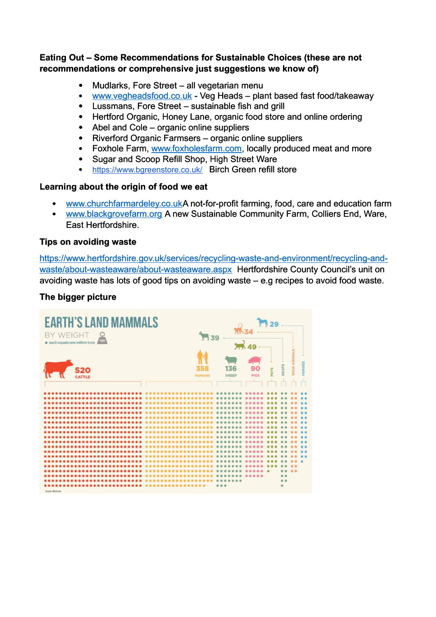#### **Eating Out – Some Recommendations for Sustainable Choices (these are not recommendations or comprehensive just suggestions we know of)**

- Mudlarks, Fore Street all vegetarian menu
- [www.vegheadsfood.co.uk](http://www.vegheadsfood.co.uk/)  Veg Heads plant based fast food/takeaway
- Lussmans, Fore Street sustainable fish and grill
- Hertford Organic, Honey Lane, organic food store and online ordering
- Abel and Cole organic online suppliers
- Riverford Organic Farmsers organic online suppliers
- Foxhole Farm, [www.foxholesfarm.com,](http://www.foxholesfarm.com/) locally produced meat and more
- Sugar and Scoop Refill Shop, High Street Ware
- <https://www.bgreenstore.co.uk/> Birch Green refill store

#### **Learning about the origin of food we eat**

- [www.churchfarmardeley.co.ukA](http://www.churchfarmardeley.co.uk/) not-for-profit farming, food, care and education farm
- [www.blackgrovefarm.org](http://www.blackgrovefarm.org/) A new Sustainable Community Farm, Colliers End, Ware, East Hertfordshire.

#### **Tips on avoiding waste**

[https://www.hertfordshire.gov.uk/services/recycling-waste-and-environment/recycling-and](https://www.hertfordshire.gov.uk/services/recycling-waste-and-environment/recycling-and-waste/about-wasteaware/about-wasteaware.aspx)[waste/about-wasteaware/about-wasteaware.aspx](https://www.hertfordshire.gov.uk/services/recycling-waste-and-environment/recycling-and-waste/about-wasteaware/about-wasteaware.aspx) Hertfordshire County Council's unit on avoiding waste has lots of good tips on avoiding waste – e.g recipes to avoid food waste.

### **The bigger picture**